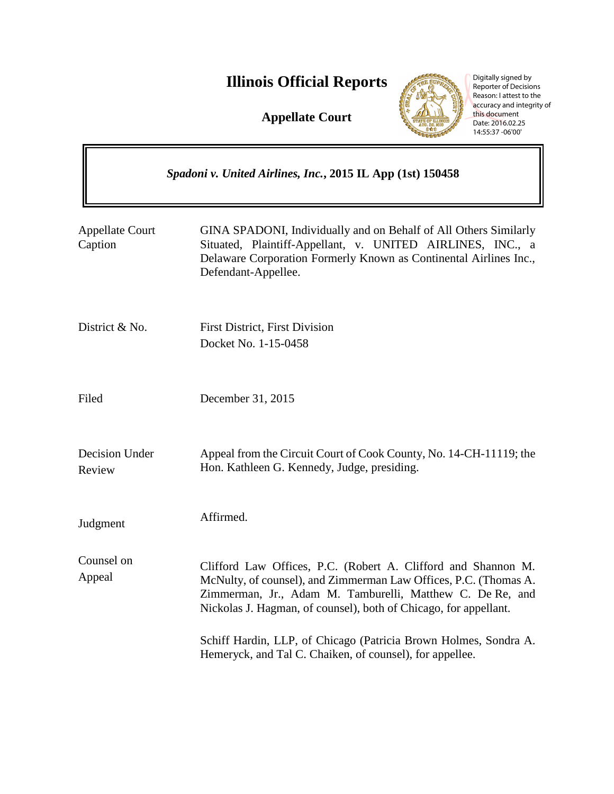# **Illinois Official Reports**

**Appellate Court**



Digitally signed by Reporter of Decisions Reason: I attest to the accuracy and integrity of this document Date: 2016.02.25 14:55:37 -06'00'

| Spadoni v. United Airlines, Inc., 2015 IL App (1st) 150458 |                                                                                                                                                                                                                                                                    |
|------------------------------------------------------------|--------------------------------------------------------------------------------------------------------------------------------------------------------------------------------------------------------------------------------------------------------------------|
| <b>Appellate Court</b><br>Caption                          | GINA SPADONI, Individually and on Behalf of All Others Similarly<br>Situated, Plaintiff-Appellant, v. UNITED AIRLINES, INC., a<br>Delaware Corporation Formerly Known as Continental Airlines Inc.,<br>Defendant-Appellee.                                         |
| District & No.                                             | <b>First District, First Division</b><br>Docket No. 1-15-0458                                                                                                                                                                                                      |
| Filed                                                      | December 31, 2015                                                                                                                                                                                                                                                  |
| Decision Under<br>Review                                   | Appeal from the Circuit Court of Cook County, No. 14-CH-11119; the<br>Hon. Kathleen G. Kennedy, Judge, presiding.                                                                                                                                                  |
| Judgment                                                   | Affirmed.                                                                                                                                                                                                                                                          |
| Counsel on<br>Appeal                                       | Clifford Law Offices, P.C. (Robert A. Clifford and Shannon M.<br>McNulty, of counsel), and Zimmerman Law Offices, P.C. (Thomas A.<br>Zimmerman, Jr., Adam M. Tamburelli, Matthew C. De Re, and<br>Nickolas J. Hagman, of counsel), both of Chicago, for appellant. |
|                                                            | Schiff Hardin, LLP, of Chicago (Patricia Brown Holmes, Sondra A.<br>Hemeryck, and Tal C. Chaiken, of counsel), for appellee.                                                                                                                                       |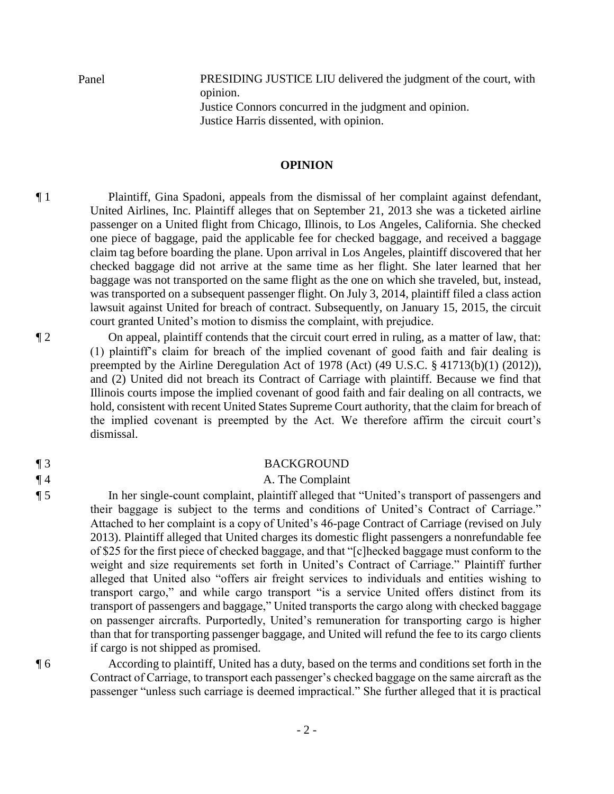Panel PRESIDING JUSTICE LIU delivered the judgment of the court, with opinion. Justice Connors concurred in the judgment and opinion. Justice Harris dissented, with opinion.

### **OPINION**

¶ 1 Plaintiff, Gina Spadoni, appeals from the dismissal of her complaint against defendant, United Airlines, Inc. Plaintiff alleges that on September 21, 2013 she was a ticketed airline passenger on a United flight from Chicago, Illinois, to Los Angeles, California. She checked one piece of baggage, paid the applicable fee for checked baggage, and received a baggage claim tag before boarding the plane. Upon arrival in Los Angeles, plaintiff discovered that her checked baggage did not arrive at the same time as her flight. She later learned that her baggage was not transported on the same flight as the one on which she traveled, but, instead, was transported on a subsequent passenger flight. On July 3, 2014, plaintiff filed a class action lawsuit against United for breach of contract. Subsequently, on January 15, 2015, the circuit court granted United's motion to dismiss the complaint, with prejudice.

¶ 2 On appeal, plaintiff contends that the circuit court erred in ruling, as a matter of law, that: (1) plaintiff's claim for breach of the implied covenant of good faith and fair dealing is preempted by the Airline Deregulation Act of 1978 (Act) (49 U.S.C. § 41713(b)(1) (2012)), and (2) United did not breach its Contract of Carriage with plaintiff. Because we find that Illinois courts impose the implied covenant of good faith and fair dealing on all contracts, we hold, consistent with recent United States Supreme Court authority, that the claim for breach of the implied covenant is preempted by the Act. We therefore affirm the circuit court's dismissal.

### ¶ 3 BACKGROUND

# ¶ 4 A. The Complaint

¶ 5 In her single-count complaint, plaintiff alleged that "United's transport of passengers and their baggage is subject to the terms and conditions of United's Contract of Carriage." Attached to her complaint is a copy of United's 46-page Contract of Carriage (revised on July 2013). Plaintiff alleged that United charges its domestic flight passengers a nonrefundable fee of \$25 for the first piece of checked baggage, and that "[c]hecked baggage must conform to the weight and size requirements set forth in United's Contract of Carriage." Plaintiff further alleged that United also "offers air freight services to individuals and entities wishing to transport cargo," and while cargo transport "is a service United offers distinct from its transport of passengers and baggage," United transports the cargo along with checked baggage on passenger aircrafts. Purportedly, United's remuneration for transporting cargo is higher than that for transporting passenger baggage, and United will refund the fee to its cargo clients if cargo is not shipped as promised.

¶ 6 According to plaintiff, United has a duty, based on the terms and conditions set forth in the Contract of Carriage, to transport each passenger's checked baggage on the same aircraft as the passenger "unless such carriage is deemed impractical." She further alleged that it is practical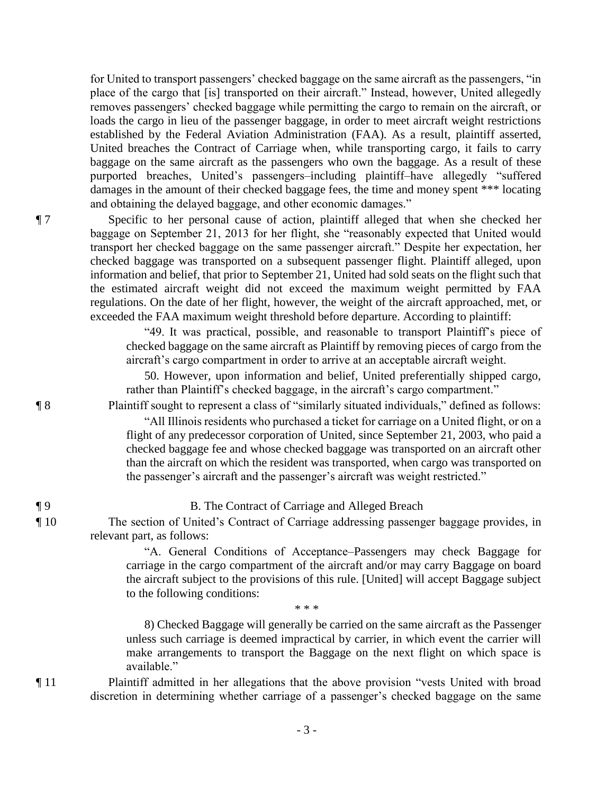for United to transport passengers' checked baggage on the same aircraft as the passengers, "in place of the cargo that [is] transported on their aircraft." Instead, however, United allegedly removes passengers' checked baggage while permitting the cargo to remain on the aircraft, or loads the cargo in lieu of the passenger baggage, in order to meet aircraft weight restrictions established by the Federal Aviation Administration (FAA). As a result, plaintiff asserted, United breaches the Contract of Carriage when, while transporting cargo, it fails to carry baggage on the same aircraft as the passengers who own the baggage. As a result of these purported breaches, United's passengers–including plaintiff–have allegedly "suffered damages in the amount of their checked baggage fees, the time and money spent \*\*\* locating and obtaining the delayed baggage, and other economic damages."

¶ 7 Specific to her personal cause of action, plaintiff alleged that when she checked her baggage on September 21, 2013 for her flight, she "reasonably expected that United would transport her checked baggage on the same passenger aircraft." Despite her expectation, her checked baggage was transported on a subsequent passenger flight. Plaintiff alleged, upon information and belief, that prior to September 21, United had sold seats on the flight such that the estimated aircraft weight did not exceed the maximum weight permitted by FAA regulations. On the date of her flight, however, the weight of the aircraft approached, met, or exceeded the FAA maximum weight threshold before departure. According to plaintiff:

> "49. It was practical, possible, and reasonable to transport Plaintiff's piece of checked baggage on the same aircraft as Plaintiff by removing pieces of cargo from the aircraft's cargo compartment in order to arrive at an acceptable aircraft weight.

> 50. However, upon information and belief, United preferentially shipped cargo, rather than Plaintiff's checked baggage, in the aircraft's cargo compartment."

¶ 8 Plaintiff sought to represent a class of "similarly situated individuals," defined as follows:

"All Illinois residents who purchased a ticket for carriage on a United flight, or on a flight of any predecessor corporation of United, since September 21, 2003, who paid a checked baggage fee and whose checked baggage was transported on an aircraft other than the aircraft on which the resident was transported, when cargo was transported on the passenger's aircraft and the passenger's aircraft was weight restricted."

¶ 9 B. The Contract of Carriage and Alleged Breach

¶ 10 The section of United's Contract of Carriage addressing passenger baggage provides, in relevant part, as follows:

> "A. General Conditions of Acceptance–Passengers may check Baggage for carriage in the cargo compartment of the aircraft and/or may carry Baggage on board the aircraft subject to the provisions of this rule. [United] will accept Baggage subject to the following conditions:

> 8) Checked Baggage will generally be carried on the same aircraft as the Passenger unless such carriage is deemed impractical by carrier, in which event the carrier will make arrangements to transport the Baggage on the next flight on which space is available."

¶ 11 Plaintiff admitted in her allegations that the above provision "vests United with broad discretion in determining whether carriage of a passenger's checked baggage on the same

 $* * *$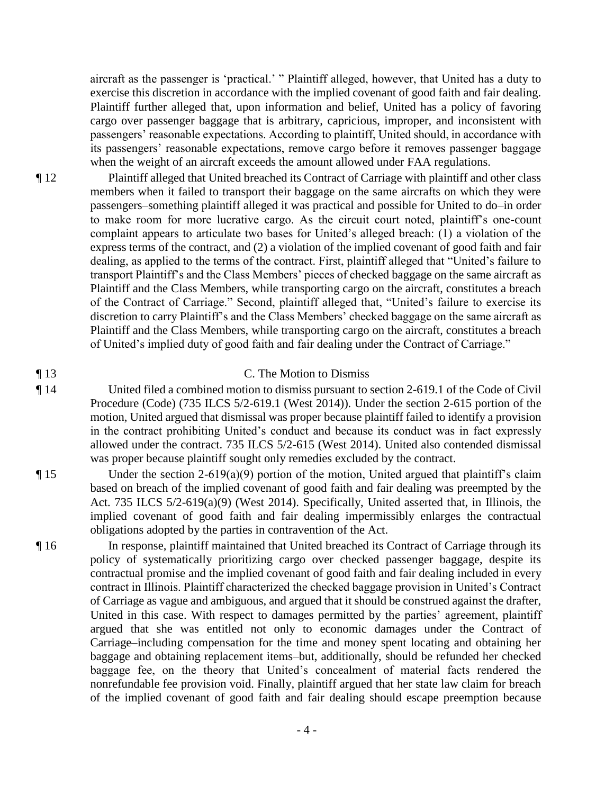aircraft as the passenger is 'practical.' " Plaintiff alleged, however, that United has a duty to exercise this discretion in accordance with the implied covenant of good faith and fair dealing. Plaintiff further alleged that, upon information and belief, United has a policy of favoring cargo over passenger baggage that is arbitrary, capricious, improper, and inconsistent with passengers' reasonable expectations. According to plaintiff, United should, in accordance with its passengers' reasonable expectations, remove cargo before it removes passenger baggage when the weight of an aircraft exceeds the amount allowed under FAA regulations.

¶ 12 Plaintiff alleged that United breached its Contract of Carriage with plaintiff and other class members when it failed to transport their baggage on the same aircrafts on which they were passengers–something plaintiff alleged it was practical and possible for United to do–in order to make room for more lucrative cargo. As the circuit court noted, plaintiff's one-count complaint appears to articulate two bases for United's alleged breach: (1) a violation of the express terms of the contract, and (2) a violation of the implied covenant of good faith and fair dealing, as applied to the terms of the contract. First, plaintiff alleged that "United's failure to transport Plaintiff's and the Class Members' pieces of checked baggage on the same aircraft as Plaintiff and the Class Members, while transporting cargo on the aircraft, constitutes a breach of the Contract of Carriage." Second, plaintiff alleged that, "United's failure to exercise its discretion to carry Plaintiff's and the Class Members' checked baggage on the same aircraft as Plaintiff and the Class Members, while transporting cargo on the aircraft, constitutes a breach of United's implied duty of good faith and fair dealing under the Contract of Carriage."

# ¶ 13 C. The Motion to Dismiss

¶ 14 United filed a combined motion to dismiss pursuant to section 2-619.1 of the Code of Civil Procedure (Code) (735 ILCS 5/2-619.1 (West 2014)). Under the section 2-615 portion of the motion, United argued that dismissal was proper because plaintiff failed to identify a provision in the contract prohibiting United's conduct and because its conduct was in fact expressly allowed under the contract. 735 ILCS 5/2-615 (West 2014). United also contended dismissal was proper because plaintiff sought only remedies excluded by the contract.

¶ 15 Under the section 2-619(a)(9) portion of the motion, United argued that plaintiff's claim based on breach of the implied covenant of good faith and fair dealing was preempted by the Act. 735 ILCS 5/2-619(a)(9) (West 2014). Specifically, United asserted that, in Illinois, the implied covenant of good faith and fair dealing impermissibly enlarges the contractual obligations adopted by the parties in contravention of the Act.

¶ 16 In response, plaintiff maintained that United breached its Contract of Carriage through its policy of systematically prioritizing cargo over checked passenger baggage, despite its contractual promise and the implied covenant of good faith and fair dealing included in every contract in Illinois. Plaintiff characterized the checked baggage provision in United's Contract of Carriage as vague and ambiguous, and argued that it should be construed against the drafter, United in this case. With respect to damages permitted by the parties' agreement, plaintiff argued that she was entitled not only to economic damages under the Contract of Carriage–including compensation for the time and money spent locating and obtaining her baggage and obtaining replacement items–but, additionally, should be refunded her checked baggage fee, on the theory that United's concealment of material facts rendered the nonrefundable fee provision void. Finally, plaintiff argued that her state law claim for breach of the implied covenant of good faith and fair dealing should escape preemption because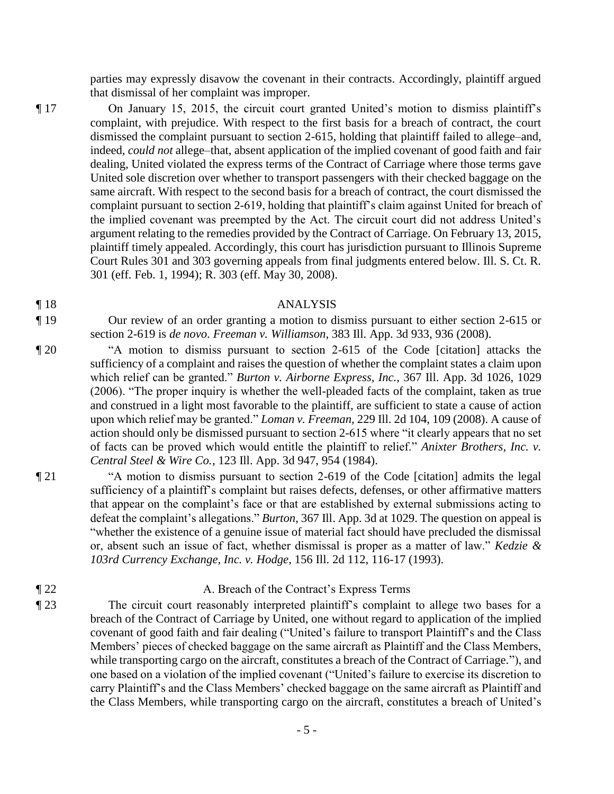parties may expressly disavow the covenant in their contracts. Accordingly, plaintiff argued that dismissal of her complaint was improper.

¶ 17 On January 15, 2015, the circuit court granted United's motion to dismiss plaintiff's complaint, with prejudice. With respect to the first basis for a breach of contract, the court dismissed the complaint pursuant to section 2-615, holding that plaintiff failed to allege–and, indeed, *could not* allege–that, absent application of the implied covenant of good faith and fair dealing, United violated the express terms of the Contract of Carriage where those terms gave United sole discretion over whether to transport passengers with their checked baggage on the same aircraft. With respect to the second basis for a breach of contract, the court dismissed the complaint pursuant to section 2-619, holding that plaintiff's claim against United for breach of the implied covenant was preempted by the Act. The circuit court did not address United's argument relating to the remedies provided by the Contract of Carriage. On February 13, 2015, plaintiff timely appealed. Accordingly, this court has jurisdiction pursuant to Illinois Supreme Court Rules 301 and 303 governing appeals from final judgments entered below. Ill. S. Ct. R.

301 (eff. Feb. 1, 1994); R. 303 (eff. May 30, 2008).

### ¶ 18 ANALYSIS

¶ 19 Our review of an order granting a motion to dismiss pursuant to either section 2-615 or section 2-619 is *de novo*. *Freeman v. Williamson*, 383 Ill. App. 3d 933, 936 (2008).

¶ 20 "A motion to dismiss pursuant to section 2-615 of the Code [citation] attacks the sufficiency of a complaint and raises the question of whether the complaint states a claim upon which relief can be granted." *Burton v. Airborne Express, Inc.*, 367 Ill. App. 3d 1026, 1029 (2006). "The proper inquiry is whether the well-pleaded facts of the complaint, taken as true and construed in a light most favorable to the plaintiff, are sufficient to state a cause of action upon which relief may be granted." *Loman v. Freeman*, 229 Ill. 2d 104, 109 (2008). A cause of action should only be dismissed pursuant to section 2-615 where "it clearly appears that no set of facts can be proved which would entitle the plaintiff to relief." *Anixter Brothers, Inc. v. Central Steel & Wire Co.*, 123 Ill. App. 3d 947, 954 (1984).

¶ 21 "A motion to dismiss pursuant to section 2-619 of the Code [citation] admits the legal sufficiency of a plaintiff's complaint but raises defects, defenses, or other affirmative matters that appear on the complaint's face or that are established by external submissions acting to defeat the complaint's allegations." *Burton*, 367 Ill. App. 3d at 1029. The question on appeal is "whether the existence of a genuine issue of material fact should have precluded the dismissal or, absent such an issue of fact, whether dismissal is proper as a matter of law." *Kedzie & 103rd Currency Exchange, Inc. v. Hodge*, 156 Ill. 2d 112, 116-17 (1993).

### ¶ 22 A. Breach of the Contract's Express Terms

¶ 23 The circuit court reasonably interpreted plaintiff's complaint to allege two bases for a breach of the Contract of Carriage by United, one without regard to application of the implied covenant of good faith and fair dealing ("United's failure to transport Plaintiff's and the Class Members' pieces of checked baggage on the same aircraft as Plaintiff and the Class Members, while transporting cargo on the aircraft, constitutes a breach of the Contract of Carriage."), and one based on a violation of the implied covenant ("United's failure to exercise its discretion to carry Plaintiff's and the Class Members' checked baggage on the same aircraft as Plaintiff and the Class Members, while transporting cargo on the aircraft, constitutes a breach of United's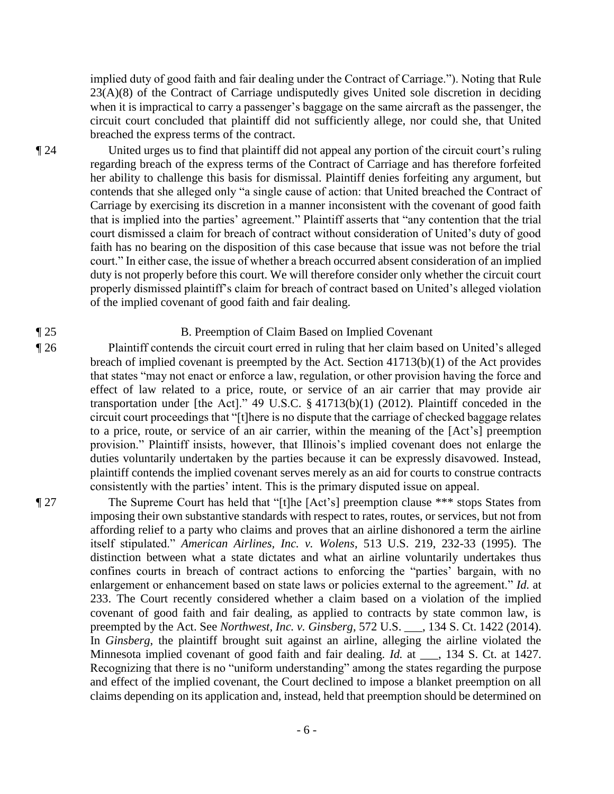implied duty of good faith and fair dealing under the Contract of Carriage."). Noting that Rule 23(A)(8) of the Contract of Carriage undisputedly gives United sole discretion in deciding when it is impractical to carry a passenger's baggage on the same aircraft as the passenger, the circuit court concluded that plaintiff did not sufficiently allege, nor could she, that United breached the express terms of the contract.

¶ 24 United urges us to find that plaintiff did not appeal any portion of the circuit court's ruling regarding breach of the express terms of the Contract of Carriage and has therefore forfeited her ability to challenge this basis for dismissal. Plaintiff denies forfeiting any argument, but contends that she alleged only "a single cause of action: that United breached the Contract of Carriage by exercising its discretion in a manner inconsistent with the covenant of good faith that is implied into the parties' agreement." Plaintiff asserts that "any contention that the trial court dismissed a claim for breach of contract without consideration of United's duty of good faith has no bearing on the disposition of this case because that issue was not before the trial court." In either case, the issue of whether a breach occurred absent consideration of an implied duty is not properly before this court. We will therefore consider only whether the circuit court properly dismissed plaintiff's claim for breach of contract based on United's alleged violation of the implied covenant of good faith and fair dealing.

# ¶ 25 B. Preemption of Claim Based on Implied Covenant

¶ 26 Plaintiff contends the circuit court erred in ruling that her claim based on United's alleged breach of implied covenant is preempted by the Act. Section 41713(b)(1) of the Act provides that states "may not enact or enforce a law, regulation, or other provision having the force and effect of law related to a price, route, or service of an air carrier that may provide air transportation under [the Act]." 49 U.S.C. § 41713(b)(1) (2012). Plaintiff conceded in the circuit court proceedings that "[t]here is no dispute that the carriage of checked baggage relates to a price, route, or service of an air carrier, within the meaning of the [Act's] preemption provision." Plaintiff insists, however, that Illinois's implied covenant does not enlarge the duties voluntarily undertaken by the parties because it can be expressly disavowed. Instead, plaintiff contends the implied covenant serves merely as an aid for courts to construe contracts consistently with the parties' intent. This is the primary disputed issue on appeal.

¶ 27 The Supreme Court has held that "[t]he [Act's] preemption clause \*\*\* stops States from imposing their own substantive standards with respect to rates, routes, or services, but not from affording relief to a party who claims and proves that an airline dishonored a term the airline itself stipulated." *American Airlines, Inc. v. Wolens*, 513 U.S. 219, 232-33 (1995). The distinction between what a state dictates and what an airline voluntarily undertakes thus confines courts in breach of contract actions to enforcing the "parties' bargain, with no enlargement or enhancement based on state laws or policies external to the agreement." *Id.* at 233. The Court recently considered whether a claim based on a violation of the implied covenant of good faith and fair dealing, as applied to contracts by state common law, is preempted by the Act. See *Northwest, Inc. v. Ginsberg*, 572 U.S. \_\_\_, 134 S. Ct. 1422 (2014). In *Ginsberg*, the plaintiff brought suit against an airline, alleging the airline violated the Minnesota implied covenant of good faith and fair dealing. *Id.* at \_\_\_, 134 S. Ct. at 1427. Recognizing that there is no "uniform understanding" among the states regarding the purpose and effect of the implied covenant, the Court declined to impose a blanket preemption on all claims depending on its application and, instead, held that preemption should be determined on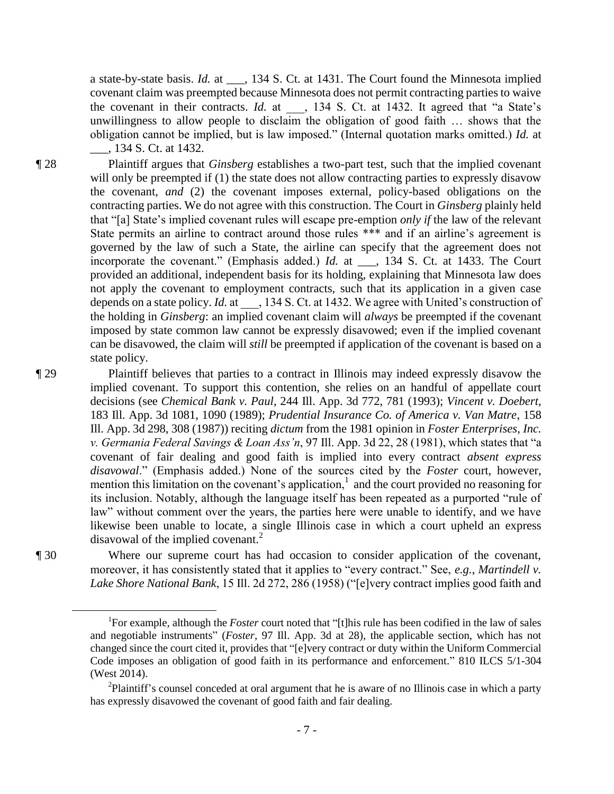a state-by-state basis. *Id.* at \_\_\_, 134 S. Ct. at 1431. The Court found the Minnesota implied covenant claim was preempted because Minnesota does not permit contracting parties to waive the covenant in their contracts. *Id.* at  $\phantom{0}$ , 134 S. Ct. at 1432. It agreed that "a State's unwillingness to allow people to disclaim the obligation of good faith … shows that the obligation cannot be implied, but is law imposed." (Internal quotation marks omitted.) *Id.* at \_\_\_, 134 S. Ct. at 1432.

¶ 28 Plaintiff argues that *Ginsberg* establishes a two-part test, such that the implied covenant will only be preempted if (1) the state does not allow contracting parties to expressly disavow the covenant, *and* (2) the covenant imposes external, policy-based obligations on the contracting parties. We do not agree with this construction. The Court in *Ginsberg* plainly held that "[a] State's implied covenant rules will escape pre-emption *only if* the law of the relevant State permits an airline to contract around those rules \*\*\* and if an airline's agreement is governed by the law of such a State, the airline can specify that the agreement does not incorporate the covenant." (Emphasis added.) *Id.* at \_\_\_, 134 S. Ct. at 1433. The Court provided an additional, independent basis for its holding, explaining that Minnesota law does not apply the covenant to employment contracts, such that its application in a given case depends on a state policy. *Id.* at  $\qquad$ , 134 S. Ct. at 1432. We agree with United's construction of the holding in *Ginsberg*: an implied covenant claim will *always* be preempted if the covenant imposed by state common law cannot be expressly disavowed; even if the implied covenant can be disavowed, the claim will *still* be preempted if application of the covenant is based on a state policy.

¶ 29 Plaintiff believes that parties to a contract in Illinois may indeed expressly disavow the implied covenant. To support this contention, she relies on an handful of appellate court decisions (see *Chemical Bank v. Paul*, 244 Ill. App. 3d 772, 781 (1993); *Vincent v. Doebert*, 183 Ill. App. 3d 1081, 1090 (1989); *Prudential Insurance Co. of America v. Van Matre*, 158 Ill. App. 3d 298, 308 (1987)) reciting *dictum* from the 1981 opinion in *Foster Enterprises, Inc. v. Germania Federal Savings & Loan Ass'n*, 97 Ill. App. 3d 22, 28 (1981), which states that "a covenant of fair dealing and good faith is implied into every contract *absent express disavowal*." (Emphasis added.) None of the sources cited by the *Foster* court, however, mention this limitation on the covenant's application, $\frac{1}{2}$  and the court provided no reasoning for its inclusion. Notably, although the language itself has been repeated as a purported "rule of law" without comment over the years, the parties here were unable to identify, and we have likewise been unable to locate, a single Illinois case in which a court upheld an express disavowal of the implied covenant. $^{2}$ 

 $\overline{a}$ 

¶ 30 Where our supreme court has had occasion to consider application of the covenant, moreover, it has consistently stated that it applies to "every contract." See, *e.g.*, *Martindell v. Lake Shore National Bank*, 15 Ill. 2d 272, 286 (1958) ("[e]very contract implies good faith and

<sup>&</sup>lt;sup>1</sup>For example, although the *Foster* court noted that "[t]his rule has been codified in the law of sales and negotiable instruments" (*Foster*, 97 Ill. App. 3d at 28), the applicable section, which has not changed since the court cited it, provides that "[e]very contract or duty within the Uniform Commercial Code imposes an obligation of good faith in its performance and enforcement." 810 ILCS 5/1-304 (West 2014).

 $2$ Plaintiff's counsel conceded at oral argument that he is aware of no Illinois case in which a party has expressly disavowed the covenant of good faith and fair dealing.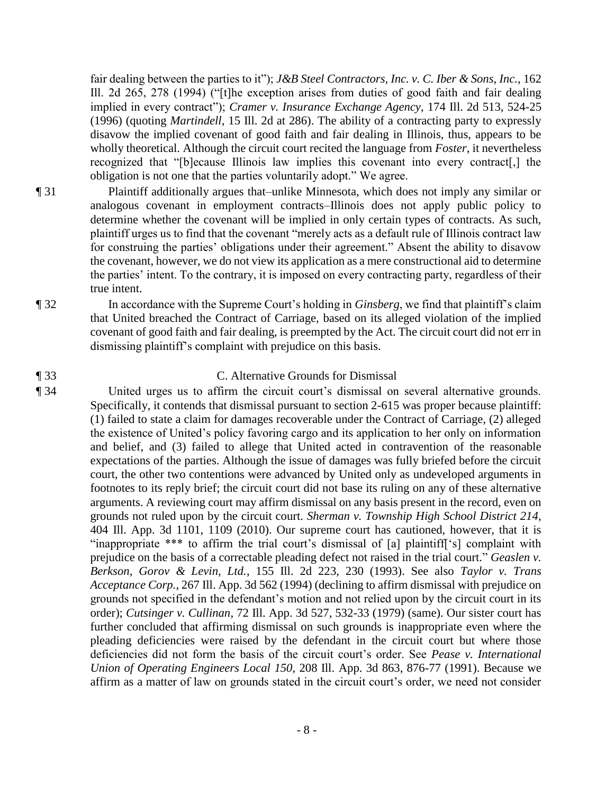fair dealing between the parties to it"); *J&B Steel Contractors, Inc. v. C. Iber & Sons, Inc.*, 162 Ill. 2d 265, 278 (1994) ("[t]he exception arises from duties of good faith and fair dealing implied in every contract"); *Cramer v. Insurance Exchange Agency*, 174 Ill. 2d 513, 524-25 (1996) (quoting *Martindell*, 15 Ill. 2d at 286). The ability of a contracting party to expressly disavow the implied covenant of good faith and fair dealing in Illinois, thus, appears to be wholly theoretical. Although the circuit court recited the language from *Foster*, it nevertheless recognized that "[b]ecause Illinois law implies this covenant into every contract[,] the obligation is not one that the parties voluntarily adopt." We agree.

- ¶ 31 Plaintiff additionally argues that–unlike Minnesota, which does not imply any similar or analogous covenant in employment contracts–Illinois does not apply public policy to determine whether the covenant will be implied in only certain types of contracts. As such, plaintiff urges us to find that the covenant "merely acts as a default rule of Illinois contract law for construing the parties' obligations under their agreement." Absent the ability to disavow the covenant, however, we do not view its application as a mere constructional aid to determine the parties' intent. To the contrary, it is imposed on every contracting party, regardless of their true intent.
- ¶ 32 In accordance with the Supreme Court's holding in *Ginsberg*, we find that plaintiff's claim that United breached the Contract of Carriage, based on its alleged violation of the implied covenant of good faith and fair dealing, is preempted by the Act. The circuit court did not err in dismissing plaintiff's complaint with prejudice on this basis.

### ¶ 33 C. Alternative Grounds for Dismissal

¶ 34 United urges us to affirm the circuit court's dismissal on several alternative grounds. Specifically, it contends that dismissal pursuant to section 2-615 was proper because plaintiff: (1) failed to state a claim for damages recoverable under the Contract of Carriage, (2) alleged the existence of United's policy favoring cargo and its application to her only on information and belief, and (3) failed to allege that United acted in contravention of the reasonable expectations of the parties. Although the issue of damages was fully briefed before the circuit court, the other two contentions were advanced by United only as undeveloped arguments in footnotes to its reply brief; the circuit court did not base its ruling on any of these alternative arguments. A reviewing court may affirm dismissal on any basis present in the record, even on grounds not ruled upon by the circuit court. *Sherman v. Township High School District 214*, 404 Ill. App. 3d 1101, 1109 (2010). Our supreme court has cautioned, however, that it is "inappropriate \*\*\* to affirm the trial court's dismissal of [a] plaintiff['s] complaint with prejudice on the basis of a correctable pleading defect not raised in the trial court." *Geaslen v. Berkson, Gorov & Levin, Ltd.*, 155 Ill. 2d 223, 230 (1993). See also *Taylor v. Trans Acceptance Corp.*, 267 Ill. App. 3d 562 (1994) (declining to affirm dismissal with prejudice on grounds not specified in the defendant's motion and not relied upon by the circuit court in its order); *Cutsinger v. Cullinan*, 72 Ill. App. 3d 527, 532-33 (1979) (same). Our sister court has further concluded that affirming dismissal on such grounds is inappropriate even where the pleading deficiencies were raised by the defendant in the circuit court but where those deficiencies did not form the basis of the circuit court's order. See *Pease v. International Union of Operating Engineers Local 150*, 208 Ill. App. 3d 863, 876-77 (1991). Because we affirm as a matter of law on grounds stated in the circuit court's order, we need not consider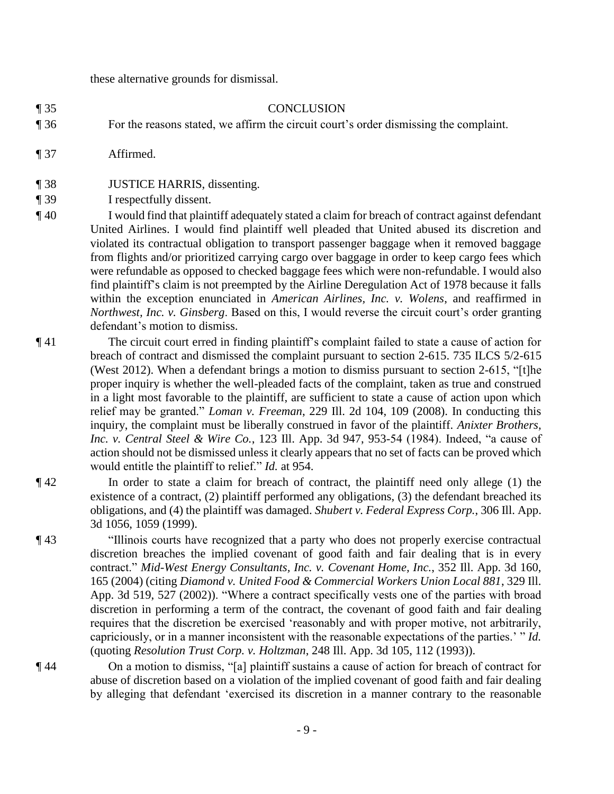these alternative grounds for dismissal.

### ¶ 35 CONCLUSION

- ¶ 36 For the reasons stated, we affirm the circuit court's order dismissing the complaint.
- ¶ 37 Affirmed.
- ¶ 38 JUSTICE HARRIS, dissenting.
- ¶ 39 I respectfully dissent.
- ¶ 40 I would find that plaintiff adequately stated a claim for breach of contract against defendant United Airlines. I would find plaintiff well pleaded that United abused its discretion and violated its contractual obligation to transport passenger baggage when it removed baggage from flights and/or prioritized carrying cargo over baggage in order to keep cargo fees which were refundable as opposed to checked baggage fees which were non-refundable. I would also find plaintiff's claim is not preempted by the Airline Deregulation Act of 1978 because it falls within the exception enunciated in *American Airlines, Inc. v. Wolens*, and reaffirmed in *Northwest, Inc. v. Ginsberg*. Based on this, I would reverse the circuit court's order granting defendant's motion to dismiss.
- ¶ 41 The circuit court erred in finding plaintiff's complaint failed to state a cause of action for breach of contract and dismissed the complaint pursuant to section 2-615. 735 ILCS 5/2-615 (West 2012). When a defendant brings a motion to dismiss pursuant to section 2-615, "[t]he proper inquiry is whether the well-pleaded facts of the complaint, taken as true and construed in a light most favorable to the plaintiff, are sufficient to state a cause of action upon which relief may be granted." *Loman v. Freeman*, 229 Ill. 2d 104, 109 (2008). In conducting this inquiry, the complaint must be liberally construed in favor of the plaintiff. *Anixter Brothers, Inc. v. Central Steel & Wire Co.*, 123 Ill. App. 3d 947, 953-54 (1984). Indeed, "a cause of action should not be dismissed unless it clearly appears that no set of facts can be proved which would entitle the plaintiff to relief." *Id.* at 954.
- ¶ 42 In order to state a claim for breach of contract, the plaintiff need only allege (1) the existence of a contract, (2) plaintiff performed any obligations, (3) the defendant breached its obligations, and (4) the plaintiff was damaged. *Shubert v. Federal Express Corp.*, 306 Ill. App. 3d 1056, 1059 (1999).
- ¶ 43 "Illinois courts have recognized that a party who does not properly exercise contractual discretion breaches the implied covenant of good faith and fair dealing that is in every contract." *Mid-West Energy Consultants, Inc. v. Covenant Home, Inc.*, 352 Ill. App. 3d 160, 165 (2004) (citing *Diamond v. United Food & Commercial Workers Union Local 881*, 329 Ill. App. 3d 519, 527 (2002)). "Where a contract specifically vests one of the parties with broad discretion in performing a term of the contract, the covenant of good faith and fair dealing requires that the discretion be exercised 'reasonably and with proper motive, not arbitrarily, capriciously, or in a manner inconsistent with the reasonable expectations of the parties.' " *Id.* (quoting *Resolution Trust Corp. v. Holtzman*, 248 Ill. App. 3d 105, 112 (1993)).
- ¶ 44 On a motion to dismiss, "[a] plaintiff sustains a cause of action for breach of contract for abuse of discretion based on a violation of the implied covenant of good faith and fair dealing by alleging that defendant 'exercised its discretion in a manner contrary to the reasonable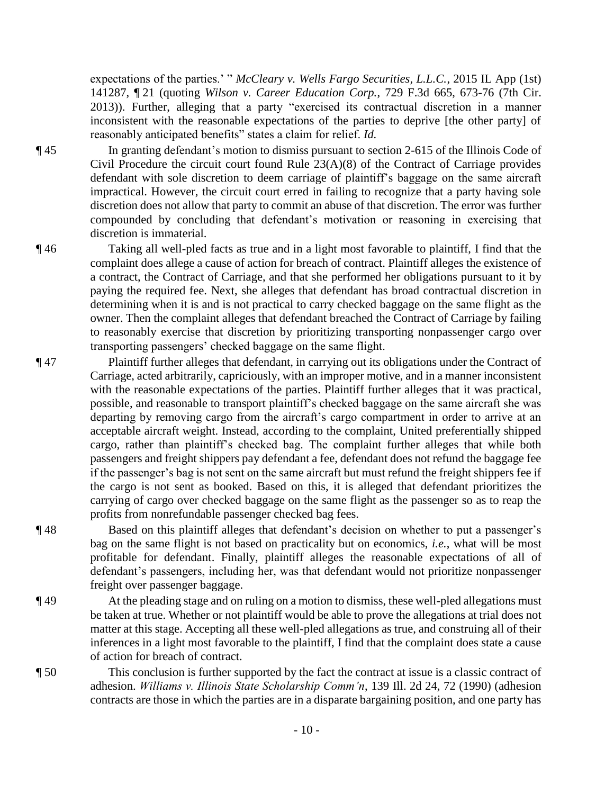expectations of the parties.' " *McCleary v. Wells Fargo Securities, L.L.C.*, 2015 IL App (1st) 141287, ¶ 21 (quoting *Wilson v. Career Education Corp.*, 729 F.3d 665, 673-76 (7th Cir. 2013)). Further, alleging that a party "exercised its contractual discretion in a manner inconsistent with the reasonable expectations of the parties to deprive [the other party] of reasonably anticipated benefits" states a claim for relief. *Id.* 

¶ 45 In granting defendant's motion to dismiss pursuant to section 2-615 of the Illinois Code of Civil Procedure the circuit court found Rule 23(A)(8) of the Contract of Carriage provides defendant with sole discretion to deem carriage of plaintiff's baggage on the same aircraft impractical. However, the circuit court erred in failing to recognize that a party having sole discretion does not allow that party to commit an abuse of that discretion. The error was further compounded by concluding that defendant's motivation or reasoning in exercising that discretion is immaterial.

- ¶ 46 Taking all well-pled facts as true and in a light most favorable to plaintiff, I find that the complaint does allege a cause of action for breach of contract. Plaintiff alleges the existence of a contract, the Contract of Carriage, and that she performed her obligations pursuant to it by paying the required fee. Next, she alleges that defendant has broad contractual discretion in determining when it is and is not practical to carry checked baggage on the same flight as the owner. Then the complaint alleges that defendant breached the Contract of Carriage by failing to reasonably exercise that discretion by prioritizing transporting nonpassenger cargo over transporting passengers' checked baggage on the same flight.
- ¶ 47 Plaintiff further alleges that defendant, in carrying out its obligations under the Contract of Carriage, acted arbitrarily, capriciously, with an improper motive, and in a manner inconsistent with the reasonable expectations of the parties. Plaintiff further alleges that it was practical, possible, and reasonable to transport plaintiff's checked baggage on the same aircraft she was departing by removing cargo from the aircraft's cargo compartment in order to arrive at an acceptable aircraft weight. Instead, according to the complaint, United preferentially shipped cargo, rather than plaintiff's checked bag. The complaint further alleges that while both passengers and freight shippers pay defendant a fee, defendant does not refund the baggage fee if the passenger's bag is not sent on the same aircraft but must refund the freight shippers fee if the cargo is not sent as booked. Based on this, it is alleged that defendant prioritizes the carrying of cargo over checked baggage on the same flight as the passenger so as to reap the profits from nonrefundable passenger checked bag fees.
- ¶ 48 Based on this plaintiff alleges that defendant's decision on whether to put a passenger's bag on the same flight is not based on practicality but on economics, *i.e.*, what will be most profitable for defendant. Finally, plaintiff alleges the reasonable expectations of all of defendant's passengers, including her, was that defendant would not prioritize nonpassenger freight over passenger baggage.
- ¶ 49 At the pleading stage and on ruling on a motion to dismiss, these well-pled allegations must be taken at true. Whether or not plaintiff would be able to prove the allegations at trial does not matter at this stage. Accepting all these well-pled allegations as true, and construing all of their inferences in a light most favorable to the plaintiff, I find that the complaint does state a cause of action for breach of contract.
- ¶ 50 This conclusion is further supported by the fact the contract at issue is a classic contract of adhesion. *Williams v. Illinois State Scholarship Comm'n*, 139 Ill. 2d 24, 72 (1990) (adhesion contracts are those in which the parties are in a disparate bargaining position, and one party has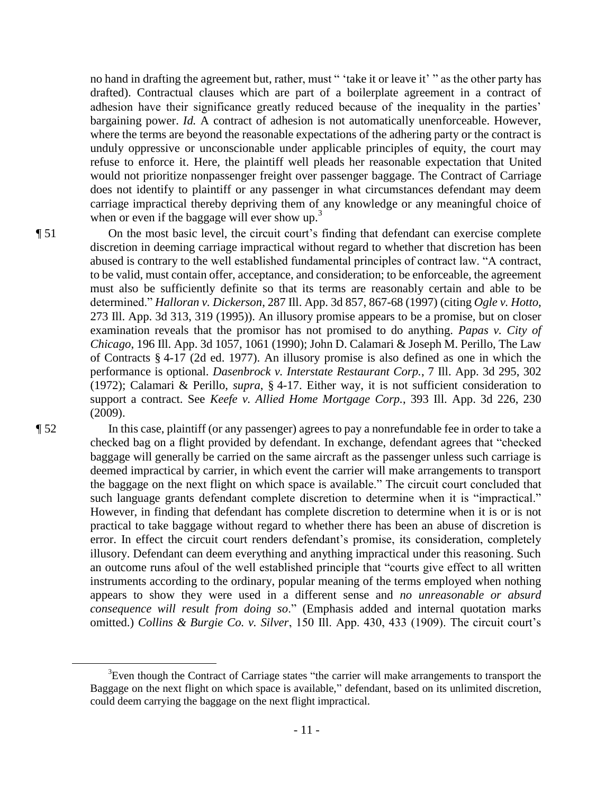no hand in drafting the agreement but, rather, must " 'take it or leave it' " as the other party has drafted). Contractual clauses which are part of a boilerplate agreement in a contract of adhesion have their significance greatly reduced because of the inequality in the parties' bargaining power. *Id.* A contract of adhesion is not automatically unenforceable. However, where the terms are beyond the reasonable expectations of the adhering party or the contract is unduly oppressive or unconscionable under applicable principles of equity, the court may refuse to enforce it. Here, the plaintiff well pleads her reasonable expectation that United would not prioritize nonpassenger freight over passenger baggage. The Contract of Carriage does not identify to plaintiff or any passenger in what circumstances defendant may deem carriage impractical thereby depriving them of any knowledge or any meaningful choice of when or even if the baggage will ever show up.<sup>3</sup>

¶ 51 On the most basic level, the circuit court's finding that defendant can exercise complete discretion in deeming carriage impractical without regard to whether that discretion has been abused is contrary to the well established fundamental principles of contract law. "A contract, to be valid, must contain offer, acceptance, and consideration; to be enforceable, the agreement must also be sufficiently definite so that its terms are reasonably certain and able to be determined." *Halloran v. Dickerson*, 287 Ill. App. 3d 857, 867-68 (1997) (citing *Ogle v. Hotto*, 273 Ill. App. 3d 313, 319 (1995)). An illusory promise appears to be a promise, but on closer examination reveals that the promisor has not promised to do anything. *Papas v. City of Chicago*, 196 Ill. App. 3d 1057, 1061 (1990); John D. Calamari & Joseph M. Perillo, The Law of Contracts § 4-17 (2d ed. 1977). An illusory promise is also defined as one in which the performance is optional. *Dasenbrock v. Interstate Restaurant Corp.*, 7 Ill. App. 3d 295, 302 (1972); Calamari & Perillo, *supra*, § 4-17. Either way, it is not sufficient consideration to support a contract. See *Keefe v. Allied Home Mortgage Corp.*, 393 Ill. App. 3d 226, 230 (2009).

 $\overline{a}$ 

¶ 52 In this case, plaintiff (or any passenger) agrees to pay a nonrefundable fee in order to take a checked bag on a flight provided by defendant. In exchange, defendant agrees that "checked baggage will generally be carried on the same aircraft as the passenger unless such carriage is deemed impractical by carrier, in which event the carrier will make arrangements to transport the baggage on the next flight on which space is available." The circuit court concluded that such language grants defendant complete discretion to determine when it is "impractical." However, in finding that defendant has complete discretion to determine when it is or is not practical to take baggage without regard to whether there has been an abuse of discretion is error. In effect the circuit court renders defendant's promise, its consideration, completely illusory. Defendant can deem everything and anything impractical under this reasoning. Such an outcome runs afoul of the well established principle that "courts give effect to all written instruments according to the ordinary, popular meaning of the terms employed when nothing appears to show they were used in a different sense and *no unreasonable or absurd consequence will result from doing so*." (Emphasis added and internal quotation marks omitted.) *Collins & Burgie Co. v. Silver*, 150 Ill. App. 430, 433 (1909). The circuit court's

 $3$ Even though the Contract of Carriage states "the carrier will make arrangements to transport the Baggage on the next flight on which space is available," defendant, based on its unlimited discretion, could deem carrying the baggage on the next flight impractical.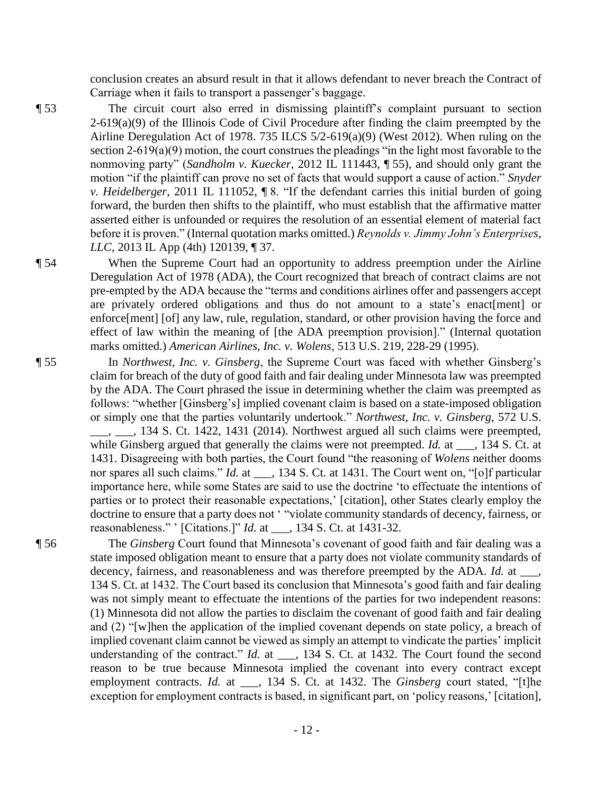conclusion creates an absurd result in that it allows defendant to never breach the Contract of Carriage when it fails to transport a passenger's baggage.

¶ 53 The circuit court also erred in dismissing plaintiff's complaint pursuant to section  $2-619(a)(9)$  of the Illinois Code of Civil Procedure after finding the claim preempted by the Airline Deregulation Act of 1978. 735 ILCS 5/2-619(a)(9) (West 2012). When ruling on the section 2-619(a)(9) motion, the court construes the pleadings "in the light most favorable to the nonmoving party" (*Sandholm v. Kuecker*, 2012 IL 111443, ¶ 55), and should only grant the motion "if the plaintiff can prove no set of facts that would support a cause of action." *Snyder v. Heidelberger*, 2011 IL 111052, ¶ 8. "If the defendant carries this initial burden of going forward, the burden then shifts to the plaintiff, who must establish that the affirmative matter asserted either is unfounded or requires the resolution of an essential element of material fact before it is proven." (Internal quotation marks omitted.) *Reynolds v. Jimmy John's Enterprises, LLC*, 2013 IL App (4th) 120139, ¶ 37.

¶ 54 When the Supreme Court had an opportunity to address preemption under the Airline Deregulation Act of 1978 (ADA), the Court recognized that breach of contract claims are not pre-empted by the ADA because the "terms and conditions airlines offer and passengers accept are privately ordered obligations and thus do not amount to a state's enact[ment] or enforce[ment] [of] any law, rule, regulation, standard, or other provision having the force and effect of law within the meaning of [the ADA preemption provision]." (Internal quotation marks omitted.) *American Airlines, Inc. v. Wolens*, 513 U.S. 219, 228-29 (1995).

- ¶ 55 In *Northwest, Inc. v. Ginsberg*, the Supreme Court was faced with whether Ginsberg's claim for breach of the duty of good faith and fair dealing under Minnesota law was preempted by the ADA. The Court phrased the issue in determining whether the claim was preempted as follows: "whether [Ginsberg's] implied covenant claim is based on a state-imposed obligation or simply one that the parties voluntarily undertook." *Northwest, Inc. v. Ginsberg*, 572 U.S. . . . 134 S. Ct. 1422, 1431 (2014). Northwest argued all such claims were preempted, while Ginsberg argued that generally the claims were not preempted. *Id.* at \_\_\_, 134 S. Ct. at 1431. Disagreeing with both parties, the Court found "the reasoning of *Wolens* neither dooms nor spares all such claims." *Id.* at \_\_\_, 134 S. Ct. at 1431. The Court went on, "[o]f particular importance here, while some States are said to use the doctrine 'to effectuate the intentions of parties or to protect their reasonable expectations,' [citation], other States clearly employ the doctrine to ensure that a party does not ' "violate community standards of decency, fairness, or reasonableness." ' [Citations.]" *Id.* at \_\_\_, 134 S. Ct. at 1431-32.
- 

¶ 56 The *Ginsberg* Court found that Minnesota's covenant of good faith and fair dealing was a state imposed obligation meant to ensure that a party does not violate community standards of decency, fairness, and reasonableness and was therefore preempted by the ADA. *Id.* at \_\_\_, 134 S. Ct. at 1432. The Court based its conclusion that Minnesota's good faith and fair dealing was not simply meant to effectuate the intentions of the parties for two independent reasons: (1) Minnesota did not allow the parties to disclaim the covenant of good faith and fair dealing and (2) "[w]hen the application of the implied covenant depends on state policy, a breach of implied covenant claim cannot be viewed as simply an attempt to vindicate the parties' implicit understanding of the contract." *Id.* at \_\_\_, 134 S. Ct. at 1432. The Court found the second reason to be true because Minnesota implied the covenant into every contract except employment contracts. *Id.* at \_\_\_, 134 S. Ct. at 1432. The *Ginsberg* court stated, "[t]he exception for employment contracts is based, in significant part, on 'policy reasons,' [citation],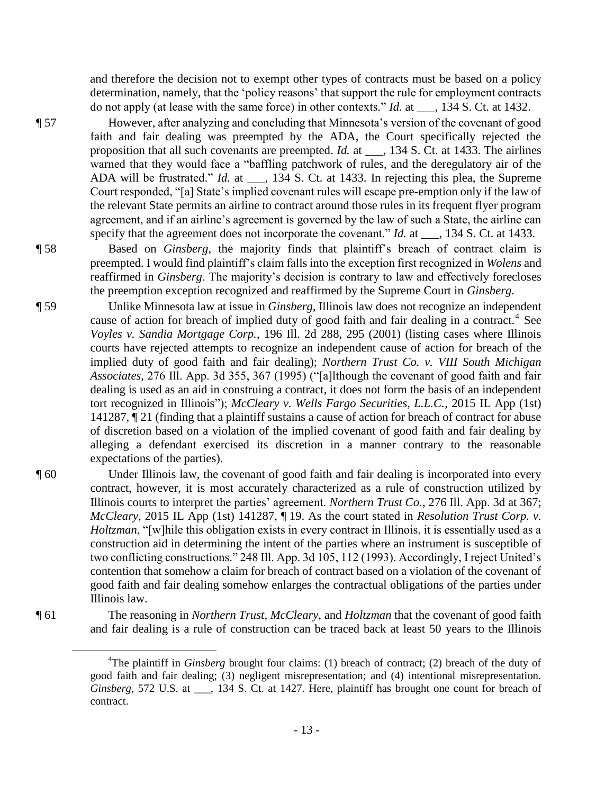and therefore the decision not to exempt other types of contracts must be based on a policy determination, namely, that the 'policy reasons' that support the rule for employment contracts do not apply (at lease with the same force) in other contexts." *Id.* at \_\_\_, 134 S. Ct. at 1432.

¶ 57 However, after analyzing and concluding that Minnesota's version of the covenant of good faith and fair dealing was preempted by the ADA, the Court specifically rejected the proposition that all such covenants are preempted. *Id.* at \_\_\_, 134 S. Ct. at 1433. The airlines warned that they would face a "baffling patchwork of rules, and the deregulatory air of the ADA will be frustrated." *Id.* at \_\_\_, 134 S. Ct. at 1433. In rejecting this plea, the Supreme Court responded, "[a] State's implied covenant rules will escape pre-emption only if the law of the relevant State permits an airline to contract around those rules in its frequent flyer program agreement, and if an airline's agreement is governed by the law of such a State, the airline can specify that the agreement does not incorporate the covenant." *Id.* at \_\_\_, 134 S. Ct. at 1433.

¶ 58 Based on *Ginsberg*, the majority finds that plaintiff's breach of contract claim is preempted. I would find plaintiff's claim falls into the exception first recognized in *Wolens* and reaffirmed in *Ginsberg*. The majority's decision is contrary to law and effectively forecloses the preemption exception recognized and reaffirmed by the Supreme Court in *Ginsberg.* 

- ¶ 59 Unlike Minnesota law at issue in *Ginsberg*, Illinois law does not recognize an independent cause of action for breach of implied duty of good faith and fair dealing in a contract.<sup>4</sup> See *Voyles v. Sandia Mortgage Corp.*, 196 Ill. 2d 288, 295 (2001) (listing cases where Illinois courts have rejected attempts to recognize an independent cause of action for breach of the implied duty of good faith and fair dealing); *Northern Trust Co. v. VIII South Michigan Associates*, 276 Ill. App. 3d 355, 367 (1995) ("[a]lthough the covenant of good faith and fair dealing is used as an aid in construing a contract, it does not form the basis of an independent tort recognized in Illinois"); *McCleary v. Wells Fargo Securities, L.L.C.*, 2015 IL App (1st) 141287, ¶ 21 (finding that a plaintiff sustains a cause of action for breach of contract for abuse of discretion based on a violation of the implied covenant of good faith and fair dealing by alleging a defendant exercised its discretion in a manner contrary to the reasonable expectations of the parties).
- ¶ 60 Under Illinois law, the covenant of good faith and fair dealing is incorporated into every contract, however, it is most accurately characterized as a rule of construction utilized by Illinois courts to interpret the parties' agreement. *Northern Trust Co.*, 276 Ill. App. 3d at 367; *McCleary*, 2015 IL App (1st) 141287, ¶ 19. As the court stated in *Resolution Trust Corp. v. Holtzman*, "[w]hile this obligation exists in every contract in Illinois, it is essentially used as a construction aid in determining the intent of the parties where an instrument is susceptible of two conflicting constructions." 248 Ill. App. 3d 105, 112 (1993). Accordingly, I reject United's contention that somehow a claim for breach of contract based on a violation of the covenant of good faith and fair dealing somehow enlarges the contractual obligations of the parties under Illinois law.

¶ 61 The reasoning in *Northern Trust*, *McCleary*, and *Holtzman* that the covenant of good faith and fair dealing is a rule of construction can be traced back at least 50 years to the Illinois

 $\overline{a}$ 

<sup>&</sup>lt;sup>4</sup>The plaintiff in *Ginsberg* brought four claims: (1) breach of contract; (2) breach of the duty of good faith and fair dealing; (3) negligent misrepresentation; and (4) intentional misrepresentation. *Ginsberg*, 572 U.S. at \_\_\_, 134 S. Ct. at 1427. Here, plaintiff has brought one count for breach of contract.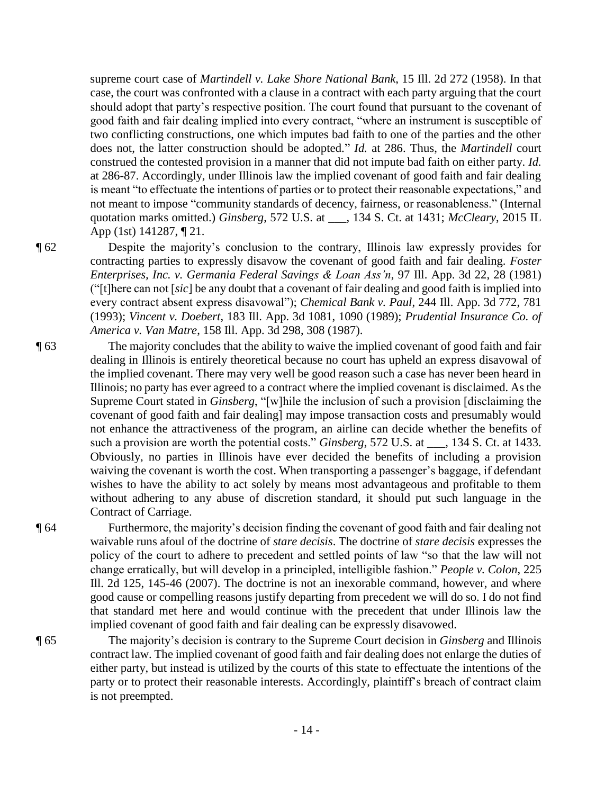supreme court case of *Martindell v. Lake Shore National Bank*, 15 Ill. 2d 272 (1958). In that case, the court was confronted with a clause in a contract with each party arguing that the court should adopt that party's respective position. The court found that pursuant to the covenant of good faith and fair dealing implied into every contract, "where an instrument is susceptible of two conflicting constructions, one which imputes bad faith to one of the parties and the other does not, the latter construction should be adopted." *Id.* at 286. Thus, the *Martindell* court construed the contested provision in a manner that did not impute bad faith on either party. *Id.*  at 286-87. Accordingly, under Illinois law the implied covenant of good faith and fair dealing is meant "to effectuate the intentions of parties or to protect their reasonable expectations," and not meant to impose "community standards of decency, fairness, or reasonableness." (Internal quotation marks omitted.) *Ginsberg*, 572 U.S. at \_\_\_, 134 S. Ct. at 1431; *McCleary*, 2015 IL App (1st) 141287, ¶ 21.

¶ 62 Despite the majority's conclusion to the contrary, Illinois law expressly provides for contracting parties to expressly disavow the covenant of good faith and fair dealing. *Foster Enterprises, Inc. v. Germania Federal Savings & Loan Ass'n*, 97 Ill. App. 3d 22, 28 (1981) ("[t]here can not [*sic*] be any doubt that a covenant of fair dealing and good faith is implied into every contract absent express disavowal"); *Chemical Bank v. Paul*, 244 Ill. App. 3d 772, 781 (1993); *Vincent v. Doebert*, 183 Ill. App. 3d 1081, 1090 (1989); *Prudential Insurance Co. of America v. Van Matre*, 158 Ill. App. 3d 298, 308 (1987).

¶ 63 The majority concludes that the ability to waive the implied covenant of good faith and fair dealing in Illinois is entirely theoretical because no court has upheld an express disavowal of the implied covenant. There may very well be good reason such a case has never been heard in Illinois; no party has ever agreed to a contract where the implied covenant is disclaimed. As the Supreme Court stated in *Ginsberg*, "[w]hile the inclusion of such a provision [disclaiming the covenant of good faith and fair dealing] may impose transaction costs and presumably would not enhance the attractiveness of the program, an airline can decide whether the benefits of such a provision are worth the potential costs." *Ginsberg*, 572 U.S. at \_\_\_, 134 S. Ct. at 1433. Obviously, no parties in Illinois have ever decided the benefits of including a provision waiving the covenant is worth the cost. When transporting a passenger's baggage, if defendant wishes to have the ability to act solely by means most advantageous and profitable to them without adhering to any abuse of discretion standard, it should put such language in the Contract of Carriage.

¶ 64 Furthermore, the majority's decision finding the covenant of good faith and fair dealing not waivable runs afoul of the doctrine of *stare decisis*. The doctrine of *stare decisis* expresses the policy of the court to adhere to precedent and settled points of law "so that the law will not change erratically, but will develop in a principled, intelligible fashion." *People v. Colon*, 225 Ill. 2d 125, 145-46 (2007). The doctrine is not an inexorable command, however, and where good cause or compelling reasons justify departing from precedent we will do so. I do not find that standard met here and would continue with the precedent that under Illinois law the implied covenant of good faith and fair dealing can be expressly disavowed.

¶ 65 The majority's decision is contrary to the Supreme Court decision in *Ginsberg* and Illinois contract law. The implied covenant of good faith and fair dealing does not enlarge the duties of either party, but instead is utilized by the courts of this state to effectuate the intentions of the party or to protect their reasonable interests. Accordingly, plaintiff's breach of contract claim is not preempted.